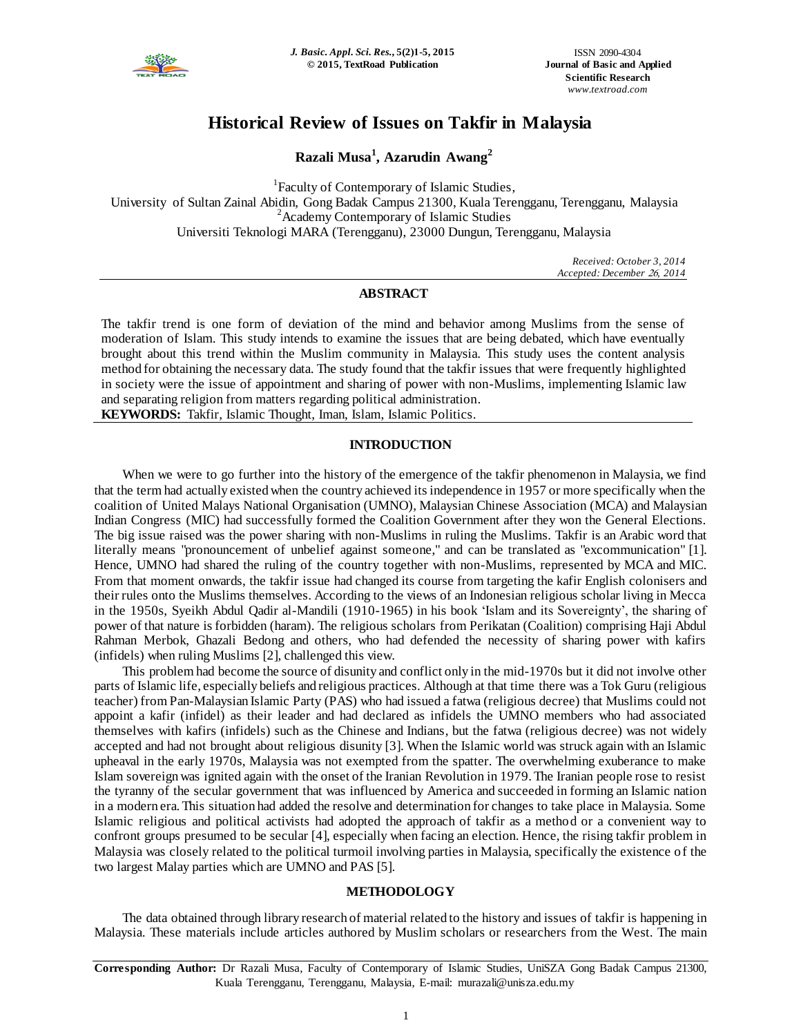

# **Historical Review of Issues on Takfir in Malaysia**

**Razali Musa<sup>1</sup> , Azarudin Awang<sup>2</sup>**

<sup>1</sup> Faculty of Contemporary of Islamic Studies, University of Sultan Zainal Abidin, Gong Badak Campus 21300, Kuala Terengganu, Terengganu, Malaysia <sup>2</sup> Academy Contemporary of Islamic Studies Universiti Teknologi MARA (Terengganu), 23000 Dungun, Terengganu, Malaysia

> *Received: October 3, 2014 Accepted: December 26, 2014*

# **ABSTRACT**

The takfir trend is one form of deviation of the mind and behavior among Muslims from the sense of moderation of Islam. This study intends to examine the issues that are being debated, which have eventually brought about this trend within the Muslim community in Malaysia. This study uses the content analysis method for obtaining the necessary data. The study found that the takfir issues that were frequently highlighted in society were the issue of appointment and sharing of power with non-Muslims, implementing Islamic law and separating religion from matters regarding political administration.

**KEYWORDS:** Takfir, Islamic Thought, Iman, Islam, Islamic Politics.

# **INTRODUCTION**

When we were to go further into the history of the emergence of the takfir phenomenon in Malaysia, we find that the term had actually existed when the country achieved its independence in 1957 or more specifically when the coalition of United Malays National Organisation (UMNO), Malaysian Chinese Association (MCA) and Malaysian Indian Congress (MIC) had successfully formed the Coalition Government after they won the General Elections. The big issue raised was the power sharing with non-Muslims in ruling the Muslims. Takfir is an Arabic word that literally means "pronouncement of unbelief against someone," and can be translated as "excommunication" [1]. Hence, UMNO had shared the ruling of the country together with non-Muslims, represented by MCA and MIC. From that moment onwards, the takfir issue had changed its course from targeting the kafir English colonisers and their rules onto the Muslims themselves. According to the views of an Indonesian religious scholar living in Mecca in the 1950s, Syeikh Abdul Qadir al-Mandili (1910-1965) in his book 'Islam and its Sovereignty', the sharing of power of that nature is forbidden (haram). The religious scholars from Perikatan (Coalition) comprising Haji Abdul Rahman Merbok, Ghazali Bedong and others, who had defended the necessity of sharing power with kafirs (infidels) when ruling Muslims [2], challenged this view.

This problem had become the source of disunity and conflict only in the mid-1970s but it did not involve other parts of Islamic life, especially beliefs and religious practices. Although at that time there was a Tok Guru (religious teacher) from Pan-Malaysian Islamic Party (PAS) who had issued a fatwa (religious decree) that Muslims could not appoint a kafir (infidel) as their leader and had declared as infidels the UMNO members who had associated themselves with kafirs (infidels) such as the Chinese and Indians, but the fatwa (religious decree) was not widely accepted and had not brought about religious disunity [3]. When the Islamic world was struck again with an Islamic upheaval in the early 1970s, Malaysia was not exempted from the spatter. The overwhelming exuberance to make Islam sovereign was ignited again with the onset of the Iranian Revolution in 1979. The Iranian people rose to resist the tyranny of the secular government that was influenced by America and succeeded in forming an Islamic nation in a modern era. This situation had added the resolve and determination for changes to take place in Malaysia. Some Islamic religious and political activists had adopted the approach of takfir as a method or a convenient way to confront groups presumed to be secular [4], especially when facing an election. Hence, the rising takfir problem in Malaysia was closely related to the political turmoil involving parties in Malaysia, specifically the existence o f the two largest Malay parties which are UMNO and PAS [5].

# **METHODOLOGY**

The data obtained through library research of material related to the history and issues of takfir is happening in Malaysia. These materials include articles authored by Muslim scholars or researchers from the West. The main

**Corresponding Author:** Dr Razali Musa, Faculty of Contemporary of Islamic Studies, UniSZA Gong Badak Campus 21300, Kuala Terengganu, Terengganu, Malaysia, E-mail: murazali@unisza.edu.my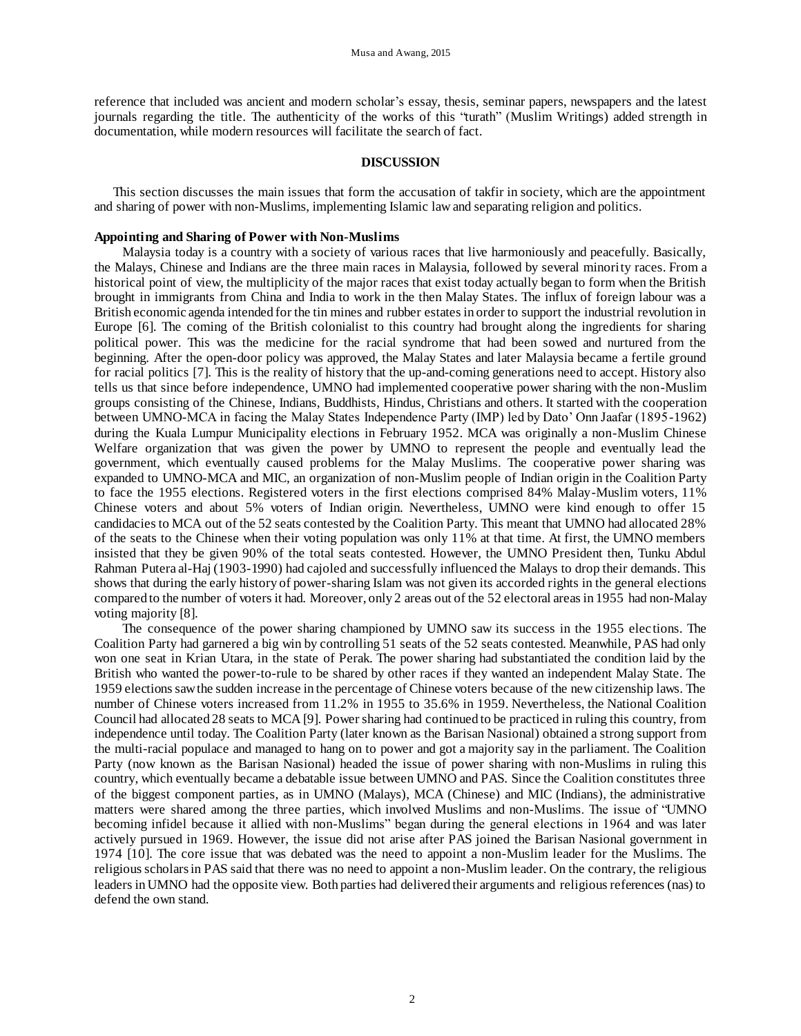reference that included was ancient and modern scholar's essay, thesis, seminar papers, newspapers and the latest journals regarding the title. The authenticity of the works of this "turath" (Muslim Writings) added strength in documentation, while modern resources will facilitate the search of fact.

## **DISCUSSION**

This section discusses the main issues that form the accusation of takfir in society, which are the appointment and sharing of power with non-Muslims, implementing Islamic law and separating religion and politics.

# **Appointing and Sharing of Power with Non-Muslims**

Malaysia today is a country with a society of various races that live harmoniously and peacefully. Basically, the Malays, Chinese and Indians are the three main races in Malaysia, followed by several minority races. From a historical point of view, the multiplicity of the major races that exist today actually began to form when the British brought in immigrants from China and India to work in the then Malay States. The influx of foreign labour was a British economic agenda intended for the tin mines and rubber estates in order to support the industrial revolution in Europe [6]. The coming of the British colonialist to this country had brought along the ingredients for sharing political power. This was the medicine for the racial syndrome that had been sowed and nurtured from the beginning. After the open-door policy was approved, the Malay States and later Malaysia became a fertile ground for racial politics [7]. This is the reality of history that the up-and-coming generations need to accept. History also tells us that since before independence, UMNO had implemented cooperative power sharing with the non-Muslim groups consisting of the Chinese, Indians, Buddhists, Hindus, Christians and others. It started with the cooperation between UMNO-MCA in facing the Malay States Independence Party (IMP) led by Dato' Onn Jaafar (1895-1962) during the Kuala Lumpur Municipality elections in February 1952. MCA was originally a non-Muslim Chinese Welfare organization that was given the power by UMNO to represent the people and eventually lead the government, which eventually caused problems for the Malay Muslims. The cooperative power sharing was expanded to UMNO-MCA and MIC, an organization of non-Muslim people of Indian origin in the Coalition Party to face the 1955 elections. Registered voters in the first elections comprised 84% Malay-Muslim voters, 11% Chinese voters and about 5% voters of Indian origin. Nevertheless, UMNO were kind enough to offer 15 candidacies to MCA out of the 52 seats contested by the Coalition Party. This meant that UMNO had allocated 28% of the seats to the Chinese when their voting population was only 11% at that time. At first, the UMNO members insisted that they be given 90% of the total seats contested. However, the UMNO President then, Tunku Abdul Rahman Putera al-Haj (1903-1990) had cajoled and successfully influenced the Malays to drop their demands. This shows that during the early history of power-sharing Islam was not given its accorded rights in the general elections compared to the number of voters it had. Moreover, only 2 areas out of the 52 electoral areas in 1955 had non-Malay voting majority [8].

The consequence of the power sharing championed by UMNO saw its success in the 1955 elections. The Coalition Party had garnered a big win by controlling 51 seats of the 52 seats contested. Meanwhile, PAS had only won one seat in Krian Utara, in the state of Perak. The power sharing had substantiated the condition laid by the British who wanted the power-to-rule to be shared by other races if they wanted an independent Malay State. The 1959 elections saw the sudden increase in the percentage of Chinese voters because of the new citizenship laws. The number of Chinese voters increased from 11.2% in 1955 to 35.6% in 1959. Nevertheless, the National Coalition Council had allocated 28 seats to MCA [9]. Power sharing had continued to be practiced in ruling this country, from independence until today. The Coalition Party (later known as the Barisan Nasional) obtained a strong support from the multi-racial populace and managed to hang on to power and got a majority say in the parliament. The Coalition Party (now known as the Barisan Nasional) headed the issue of power sharing with non-Muslims in ruling this country, which eventually became a debatable issue between UMNO and PAS. Since the Coalition constitutes three of the biggest component parties, as in UMNO (Malays), MCA (Chinese) and MIC (Indians), the administrative matters were shared among the three parties, which involved Muslims and non-Muslims. The issue of "UMNO becoming infidel because it allied with non-Muslims" began during the general elections in 1964 and was later actively pursued in 1969. However, the issue did not arise after PAS joined the Barisan Nasional government in 1974 [10]. The core issue that was debated was the need to appoint a non-Muslim leader for the Muslims. The religious scholars in PAS said that there was no need to appoint a non-Muslim leader. On the contrary, the religious leaders in UMNO had the opposite view. Both parties had delivered their arguments and religious references (nas) to defend the own stand.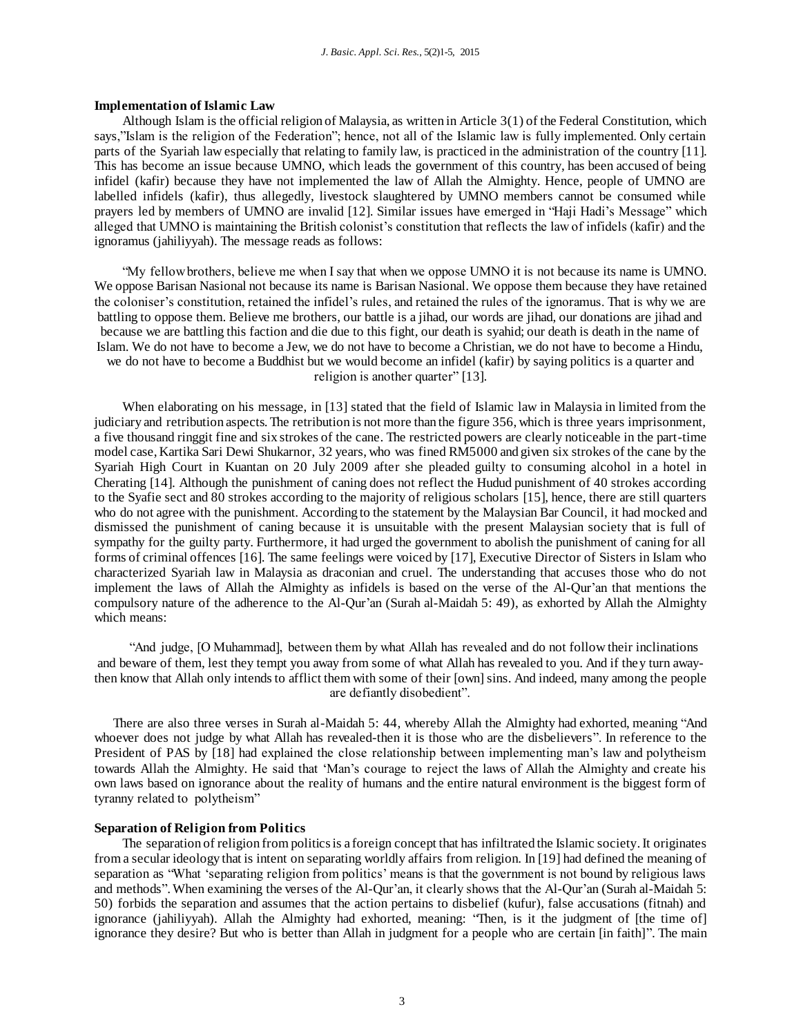#### **Implementation of Islamic Law**

Although Islam is the official religion of Malaysia, as written in Article 3(1) of the Federal Constitution, which says,"Islam is the religion of the Federation"; hence, not all of the Islamic law is fully implemented. Only certain parts of the Syariah law especially that relating to family law, is practiced in the administration of the country [11]. This has become an issue because UMNO, which leads the government of this country, has been accused of being infidel (kafir) because they have not implemented the law of Allah the Almighty. Hence, people of UMNO are labelled infidels (kafir), thus allegedly, livestock slaughtered by UMNO members cannot be consumed while prayers led by members of UMNO are invalid [12]. Similar issues have emerged in "Haji Hadi's Message" which alleged that UMNO is maintaining the British colonist's constitution that reflects the law of infidels (kafir) and the ignoramus (jahiliyyah). The message reads as follows:

"My fellow brothers, believe me when I say that when we oppose UMNO it is not because its name is UMNO. We oppose Barisan Nasional not because its name is Barisan Nasional. We oppose them because they have retained the coloniser's constitution, retained the infidel's rules, and retained the rules of the ignoramus. That is why we are battling to oppose them. Believe me brothers, our battle is a jihad, our words are jihad, our donations are jihad and because we are battling this faction and die due to this fight, our death is syahid; our death is death in the name of Islam. We do not have to become a Jew, we do not have to become a Christian, we do not have to become a Hindu, we do not have to become a Buddhist but we would become an infidel (kafir) by saying politics is a quarter and religion is another quarter" [13].

When elaborating on his message, in [13] stated that the field of Islamic law in Malaysia in limited from the judiciary and retribution aspects. The retribution is not more than the figure 356, which is three years imprisonment, a five thousand ringgit fine and six strokes of the cane. The restricted powers are clearly noticeable in the part-time model case, Kartika Sari Dewi Shukarnor, 32 years, who was fined RM5000 and given six strokes of the cane by the Syariah High Court in Kuantan on 20 July 2009 after she pleaded guilty to consuming alcohol in a hotel in Cherating [14]. Although the punishment of caning does not reflect the Hudud punishment of 40 strokes according to the Syafie sect and 80 strokes according to the majority of religious scholars [15], hence, there are still quarters who do not agree with the punishment. According to the statement by the Malaysian Bar Council, it had mocked and dismissed the punishment of caning because it is unsuitable with the present Malaysian society that is full of sympathy for the guilty party. Furthermore, it had urged the government to abolish the punishment of caning for all forms of criminal offences [16]. The same feelings were voiced by [17], Executive Director of Sisters in Islam who characterized Syariah law in Malaysia as draconian and cruel. The understanding that accuses those who do not implement the laws of Allah the Almighty as infidels is based on the verse of the Al-Qur'an that mentions the compulsory nature of the adherence to the Al-Qur'an (Surah al-Maidah 5: 49), as exhorted by Allah the Almighty which means:

"And judge, [O Muhammad], between them by what Allah has revealed and do not follow their inclinations and beware of them, lest they tempt you away from some of what Allah has revealed to you. And if they turn awaythen know that Allah only intends to afflict them with some of their [own] sins. And indeed, many among the people are defiantly disobedient".

There are also three verses in Surah al-Maidah 5: 44, whereby Allah the Almighty had exhorted, meaning "And whoever does not judge by what Allah has revealed-then it is those who are the disbelievers". In reference to the President of PAS by [18] had explained the close relationship between implementing man's law and polytheism towards Allah the Almighty. He said that 'Man's courage to reject the laws of Allah the Almighty and create his own laws based on ignorance about the reality of humans and the entire natural environment is the biggest form of tyranny related to polytheism"

#### **Separation of Religion from Politics**

The separation of religion from politics is a foreign concept that has infiltrated the Islamic society. It originates from a secular ideology that is intent on separating worldly affairs from religion. In [19] had defined the meaning of separation as "What 'separating religion from politics' means is that the government is not bound by religious laws and methods". When examining the verses of the Al-Qur'an, it clearly shows that the Al-Qur'an (Surah al-Maidah 5: 50) forbids the separation and assumes that the action pertains to disbelief (kufur), false accusations (fitnah) and ignorance (jahiliyyah). Allah the Almighty had exhorted, meaning: "Then, is it the judgment of [the time of] ignorance they desire? But who is better than Allah in judgment for a people who are certain [in faith]". The main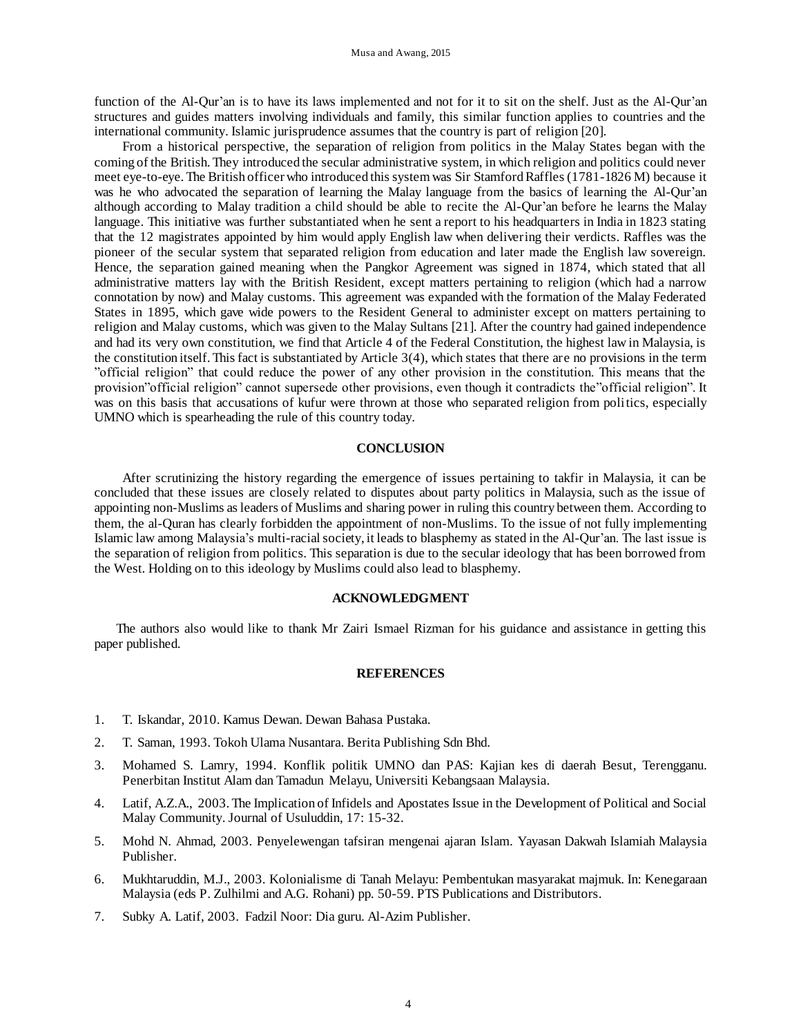function of the Al-Qur'an is to have its laws implemented and not for it to sit on the shelf. Just as the Al-Qur'an structures and guides matters involving individuals and family, this similar function applies to countries and the international community. Islamic jurisprudence assumes that the country is part of religion [20].

From a historical perspective, the separation of religion from politics in the Malay States began with the coming of the British. They introduced the secular administrative system, in which religion and politics could never meet eye-to-eye. The British officer who introduced this system was Sir Stamford Raffles (1781-1826 M) because it was he who advocated the separation of learning the Malay language from the basics of learning the Al-Qur'an although according to Malay tradition a child should be able to recite the Al-Qur'an before he learns the Malay language. This initiative was further substantiated when he sent a report to his headquarters in India in 1823 stating that the 12 magistrates appointed by him would apply English law when delivering their verdicts. Raffles was the pioneer of the secular system that separated religion from education and later made the English law sovereign. Hence, the separation gained meaning when the Pangkor Agreement was signed in 1874, which stated that all administrative matters lay with the British Resident, except matters pertaining to religion (which had a narrow connotation by now) and Malay customs. This agreement was expanded with the formation of the Malay Federated States in 1895, which gave wide powers to the Resident General to administer except on matters pertaining to religion and Malay customs, which was given to the Malay Sultans [21]. After the country had gained independence and had its very own constitution, we find that Article 4 of the Federal Constitution, the highest law in Malaysia, is the constitution itself. This fact is substantiated by Article 3(4), which states that there are no provisions in the term "official religion" that could reduce the power of any other provision in the constitution. This means that the provision"official religion" cannot supersede other provisions, even though it contradicts the"official religion". It was on this basis that accusations of kufur were thrown at those who separated religion from politics, especially UMNO which is spearheading the rule of this country today.

# **CONCLUSION**

After scrutinizing the history regarding the emergence of issues pertaining to takfir in Malaysia, it can be concluded that these issues are closely related to disputes about party politics in Malaysia, such as the issue of appointing non-Muslims as leaders of Muslims and sharing power in ruling this country between them. According to them, the al-Quran has clearly forbidden the appointment of non-Muslims. To the issue of not fully implementing Islamic law among Malaysia's multi-racial society, it leads to blasphemy as stated in the Al-Qur'an. The last issue is the separation of religion from politics. This separation is due to the secular ideology that has been borrowed from the West. Holding on to this ideology by Muslims could also lead to blasphemy.

## **ACKNOWLEDGMENT**

The authors also would like to thank Mr Zairi Ismael Rizman for his guidance and assistance in getting this paper published.

## **REFERENCES**

- 1. T. Iskandar, 2010. Kamus Dewan. Dewan Bahasa Pustaka.
- 2. T. Saman, 1993. Tokoh Ulama Nusantara. Berita Publishing Sdn Bhd.
- 3. Mohamed S. Lamry, 1994. Konflik politik UMNO dan PAS: Kajian kes di daerah Besut, Terengganu. Penerbitan Institut Alam dan Tamadun Melayu, Universiti Kebangsaan Malaysia.
- 4. Latif, A.Z.A., 2003. The Implication of Infidels and Apostates Issue in the Development of Political and Social Malay Community. Journal of Usuluddin, 17: 15-32.
- 5. Mohd N. Ahmad, 2003. Penyelewengan tafsiran mengenai ajaran Islam. Yayasan Dakwah Islamiah Malaysia Publisher.
- 6. Mukhtaruddin, M.J., 2003. Kolonialisme di Tanah Melayu: Pembentukan masyarakat majmuk. In: Kenegaraan Malaysia (eds P. Zulhilmi and A.G. Rohani) pp. 50-59. PTS Publications and Distributors.
- 7. Subky A. Latif, 2003. Fadzil Noor: Dia guru. Al-Azim Publisher.